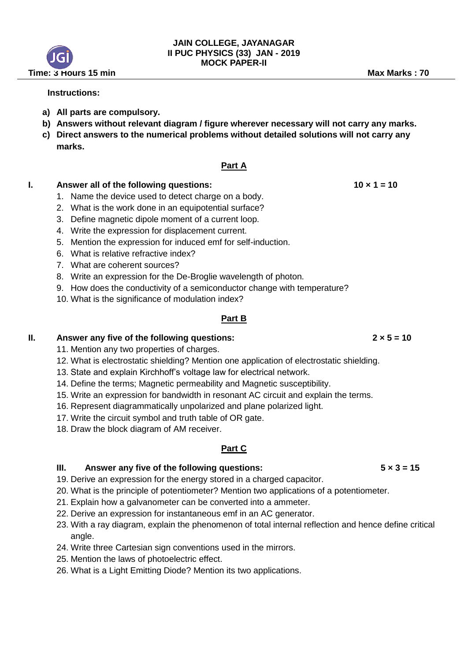## **Instructions:**

- **a) All parts are compulsory.**
- **b) Answers without relevant diagram / figure wherever necessary will not carry any marks.**
- **c) Direct answers to the numerical problems without detailed solutions will not carry any marks.**

## **Part A**

## **I.** Answer all of the following questions: 10 × 1 = 10

- 1. Name the device used to detect charge on a body.
- 2. What is the work done in an equipotential surface?
- 3. Define magnetic dipole moment of a current loop.
- 4. Write the expression for displacement current.
- 5. Mention the expression for induced emf for self-induction.
- 6. What is relative refractive index?
- 7. What are coherent sources?
- 8. Write an expression for the De-Broglie wavelength of photon.
- 9. How does the conductivity of a semiconductor change with temperature?
- 10. What is the significance of modulation index?

### **Part B**

### **II. Answer any five of the following questions: 2 × 5 = 10**

- 11. Mention any two properties of charges.
- 12. What is electrostatic shielding? Mention one application of electrostatic shielding.
- 13. State and explain Kirchhoff's voltage law for electrical network.
- 14. Define the terms; Magnetic permeability and Magnetic susceptibility.
- 15. Write an expression for bandwidth in resonant AC circuit and explain the terms.
- 16. Represent diagrammatically unpolarized and plane polarized light.
- 17. Write the circuit symbol and truth table of OR gate.
- 18. Draw the block diagram of AM receiver.

### **Part C**

# **III. Answer any five of the following questions:**  $5 \times 3 = 15$

- 19. Derive an expression for the energy stored in a charged capacitor.
- 20. What is the principle of potentiometer? Mention two applications of a potentiometer.
- 21. Explain how a galvanometer can be converted into a ammeter.
- 22. Derive an expression for instantaneous emf in an AC generator.
- 23. With a ray diagram, explain the phenomenon of total internal reflection and hence define critical angle.
- 24. Write three Cartesian sign conventions used in the mirrors.
- 25. Mention the laws of photoelectric effect.
- 26. What is a Light Emitting Diode? Mention its two applications.